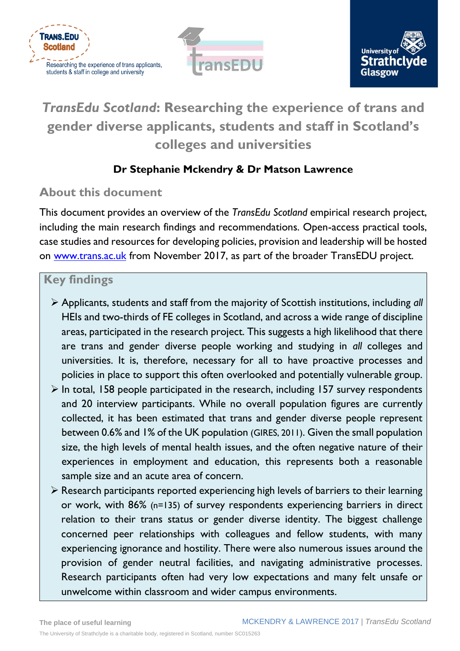





# *TransEdu Scotland***: Researching the experience of trans and gender diverse applicants, students and staff in Scotland's colleges and universities**

# **Dr Stephanie Mckendry & Dr Matson Lawrence**

# **About this document**

This document provides an overview of the *TransEdu Scotland* empirical research project, including the main research findings and recommendations. Open-access practical tools, case studies and resources for developing policies, provision and leadership will be hosted on [www.trans.ac.uk](http://www.trans.ac.uk/) from November 2017, as part of the broader TransEDU project.

# **Key findings**

- Applicants, students and staff from the majority of Scottish institutions, including *all* HEIs and two-thirds of FE colleges in Scotland, and across a wide range of discipline areas, participated in the research project. This suggests a high likelihood that there are trans and gender diverse people working and studying in *all* colleges and universities. It is, therefore, necessary for all to have proactive processes and policies in place to support this often overlooked and potentially vulnerable group.
- $\triangleright$  In total, 158 people participated in the research, including 157 survey respondents and 20 interview participants. While no overall population figures are currently collected, it has been estimated that trans and gender diverse people represent between 0.6% and 1% of the UK population (GIRES, 2011). Given the small population size, the high levels of mental health issues, and the often negative nature of their experiences in employment and education, this represents both a reasonable sample size and an acute area of concern.
- $\triangleright$  Research participants reported experiencing high levels of barriers to their learning or work, with 86% (n=135) of survey respondents experiencing barriers in direct relation to their trans status or gender diverse identity. The biggest challenge concerned peer relationships with colleagues and fellow students, with many experiencing ignorance and hostility. There were also numerous issues around the provision of gender neutral facilities, and navigating administrative processes. Research participants often had very low expectations and many felt unsafe or unwelcome within classroom and wider campus environments.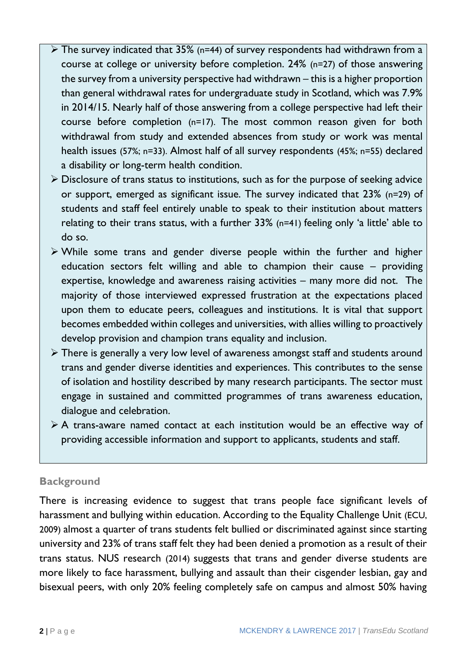- $\triangleright$  The survey indicated that 35% (n=44) of survey respondents had withdrawn from a course at college or university before completion. 24% (n=27) of those answering the survey from a university perspective had withdrawn – this is a higher proportion than general withdrawal rates for undergraduate study in Scotland, which was 7.9% in 2014/15. Nearly half of those answering from a college perspective had left their course before completion (n=17). The most common reason given for both withdrawal from study and extended absences from study or work was mental health issues (57%; n=33). Almost half of all survey respondents (45%; n=55) declared a disability or long-term health condition.
- $\triangleright$  Disclosure of trans status to institutions, such as for the purpose of seeking advice or support, emerged as significant issue. The survey indicated that 23% (n=29) of students and staff feel entirely unable to speak to their institution about matters relating to their trans status, with a further 33% (n=41) feeling only 'a little' able to do so.
- While some trans and gender diverse people within the further and higher education sectors felt willing and able to champion their cause – providing expertise, knowledge and awareness raising activities – many more did not. The majority of those interviewed expressed frustration at the expectations placed upon them to educate peers, colleagues and institutions. It is vital that support becomes embedded within colleges and universities, with allies willing to proactively develop provision and champion trans equality and inclusion.
- There is generally a very low level of awareness amongst staff and students around trans and gender diverse identities and experiences. This contributes to the sense of isolation and hostility described by many research participants. The sector must engage in sustained and committed programmes of trans awareness education, dialogue and celebration.
- A trans-aware named contact at each institution would be an effective way of providing accessible information and support to applicants, students and staff.

### **Background**

There is increasing evidence to suggest that trans people face significant levels of harassment and bullying within education. According to the Equality Challenge Unit (ECU, 2009) almost a quarter of trans students felt bullied or discriminated against since starting university and 23% of trans staff felt they had been denied a promotion as a result of their trans status. NUS research (2014) suggests that trans and gender diverse students are more likely to face harassment, bullying and assault than their cisgender lesbian, gay and bisexual peers, with only 20% feeling completely safe on campus and almost 50% having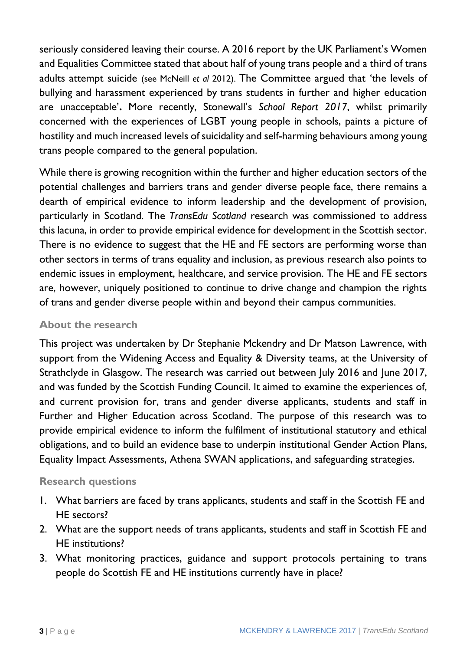seriously considered leaving their course. A 2016 report by the UK Parliament's Women and Equalities Committee stated that about half of young trans people and a third of trans adults attempt suicide (see McNeill *et al* 2012). The Committee argued that 'the levels of bullying and harassment experienced by trans students in further and higher education are unacceptable'**.** More recently, Stonewall's *School Report 2017*, whilst primarily concerned with the experiences of LGBT young people in schools, paints a picture of hostility and much increased levels of suicidality and self-harming behaviours among young trans people compared to the general population.

While there is growing recognition within the further and higher education sectors of the potential challenges and barriers trans and gender diverse people face, there remains a dearth of empirical evidence to inform leadership and the development of provision, particularly in Scotland. The *TransEdu Scotland* research was commissioned to address this lacuna, in order to provide empirical evidence for development in the Scottish sector. There is no evidence to suggest that the HE and FE sectors are performing worse than other sectors in terms of trans equality and inclusion, as previous research also points to endemic issues in employment, healthcare, and service provision. The HE and FE sectors are, however, uniquely positioned to continue to drive change and champion the rights of trans and gender diverse people within and beyond their campus communities.

# **About the research**

This project was undertaken by Dr Stephanie Mckendry and Dr Matson Lawrence, with support from the Widening Access and Equality & Diversity teams, at the University of Strathclyde in Glasgow. The research was carried out between July 2016 and June 2017, and was funded by the Scottish Funding Council. It aimed to examine the experiences of, and current provision for, trans and gender diverse applicants, students and staff in Further and Higher Education across Scotland. The purpose of this research was to provide empirical evidence to inform the fulfilment of institutional statutory and ethical obligations, and to build an evidence base to underpin institutional Gender Action Plans, Equality Impact Assessments, Athena SWAN applications, and safeguarding strategies.

### **Research questions**

- 1. What barriers are faced by trans applicants, students and staff in the Scottish FE and HE sectors?
- 2. What are the support needs of trans applicants, students and staff in Scottish FE and HE institutions?
- 3. What monitoring practices, guidance and support protocols pertaining to trans people do Scottish FE and HE institutions currently have in place?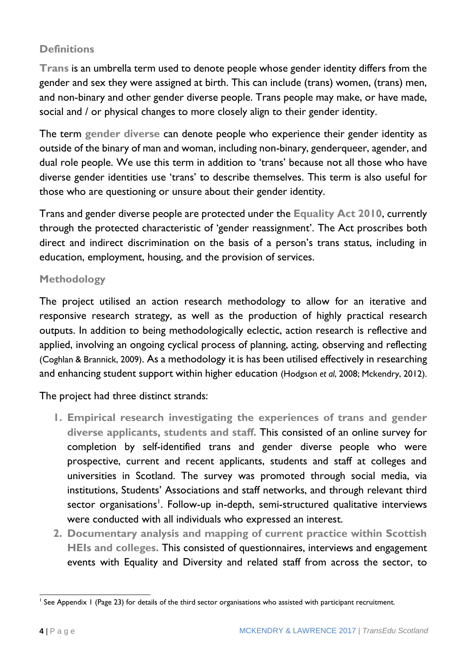# **Definitions**

**Trans** is an umbrella term used to denote people whose gender identity differs from the gender and sex they were assigned at birth. This can include (trans) women, (trans) men, and non-binary and other gender diverse people. Trans people may make, or have made, social and / or physical changes to more closely align to their gender identity.

The term **gender diverse** can denote people who experience their gender identity as outside of the binary of man and woman, including non-binary, genderqueer, agender, and dual role people. We use this term in addition to 'trans' because not all those who have diverse gender identities use 'trans' to describe themselves. This term is also useful for those who are questioning or unsure about their gender identity.

Trans and gender diverse people are protected under the **Equality Act 2010**, currently through the protected characteristic of 'gender reassignment'. The Act proscribes both direct and indirect discrimination on the basis of a person's trans status, including in education, employment, housing, and the provision of services.

# **Methodology**

The project utilised an action research methodology to allow for an iterative and responsive research strategy, as well as the production of highly practical research outputs. In addition to being methodologically eclectic, action research is reflective and applied, involving an ongoing cyclical process of planning, acting, observing and reflecting (Coghlan & Brannick, 2009). As a methodology it is has been utilised effectively in researching and enhancing student support within higher education (Hodgson *et al*, 2008; Mckendry, 2012).

The project had three distinct strands:

- **1. Empirical research investigating the experiences of trans and gender diverse applicants, students and staff.** This consisted of an online survey for completion by self-identified trans and gender diverse people who were prospective, current and recent applicants, students and staff at colleges and universities in Scotland. The survey was promoted through social media, via institutions, Students' Associations and staff networks, and through relevant third sector organisations<sup>1</sup>. Follow-up in-depth, semi-structured qualitative interviews were conducted with all individuals who expressed an interest.
- **2. Documentary analysis and mapping of current practice within Scottish HEIs and colleges.** This consisted of questionnaires, interviews and engagement events with Equality and Diversity and related staff from across the sector, to

<sup>-</sup><sup>1</sup> See Appendix 1 (Page 23) for details of the third sector organisations who assisted with participant recruitment.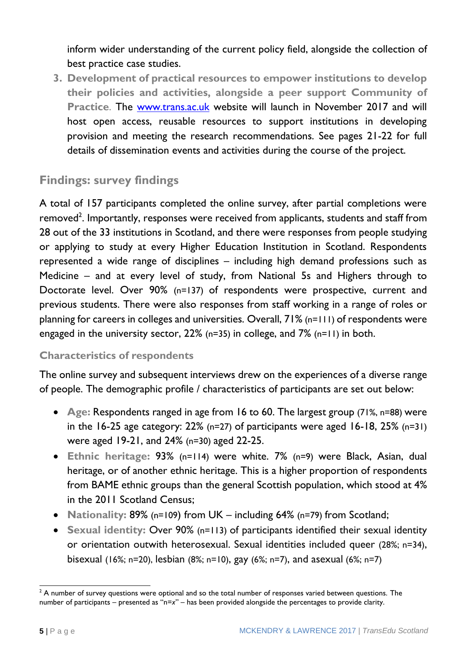inform wider understanding of the current policy field, alongside the collection of best practice case studies.

**3. Development of practical resources to empower institutions to develop their policies and activities, alongside a peer support Community of Practice**. The [www.trans.ac.uk](http://www.trans.ac.uk/) website will launch in November 2017 and will host open access, reusable resources to support institutions in developing provision and meeting the research recommendations. See pages 21-22 for full details of dissemination events and activities during the course of the project.

# **Findings: survey findings**

A total of 157 participants completed the online survey, after partial completions were removed<sup>2</sup>. Importantly, responses were received from applicants, students and staff from 28 out of the 33 institutions in Scotland, and there were responses from people studying or applying to study at every Higher Education Institution in Scotland. Respondents represented a wide range of disciplines – including high demand professions such as Medicine – and at every level of study, from National 5s and Highers through to Doctorate level. Over 90% (n=137) of respondents were prospective, current and previous students. There were also responses from staff working in a range of roles or planning for careers in colleges and universities. Overall, 71% (n=111) of respondents were engaged in the university sector, 22% (n=35) in college, and 7% (n=11) in both.

# **Characteristics of respondents**

The online survey and subsequent interviews drew on the experiences of a diverse range of people. The demographic profile / characteristics of participants are set out below:

- **Age:** Respondents ranged in age from 16 to 60. The largest group (71%, n=88) were in the 16-25 age category: 22% (n=27) of participants were aged 16-18, 25% (n=31) were aged 19-21, and 24% (n=30) aged 22-25.
- **Ethnic heritage:** 93% (n=114) were white. 7% (n=9) were Black, Asian, dual heritage, or of another ethnic heritage. This is a higher proportion of respondents from BAME ethnic groups than the general Scottish population, which stood at 4% in the 2011 Scotland Census;
- **Nationality:** 89% (n=109) from UK including 64% (n=79) from Scotland;
- **Sexual identity:** Over 90% (n=113) of participants identified their sexual identity or orientation outwith heterosexual. Sexual identities included queer (28%; n=34), bisexual (16%; n=20), lesbian (8%; n=10), gay (6%; n=7), and asexual (6%; n=7)

<sup>-</sup> $2$  A number of survey questions were optional and so the total number of responses varied between questions. The number of participants – presented as "n=*x*" – has been provided alongside the percentages to provide clarity.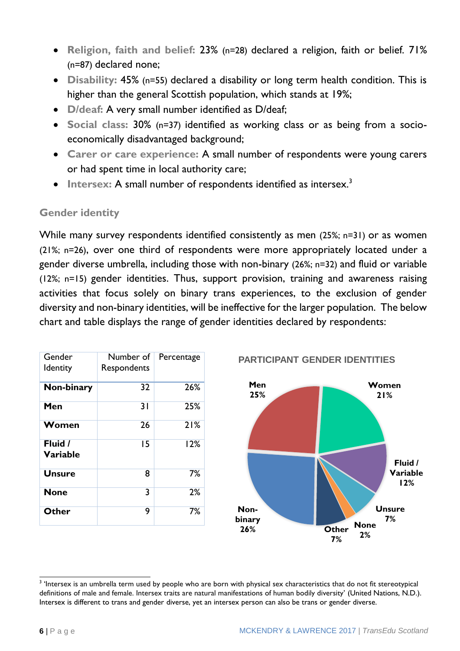- **Religion, faith and belief:** 23% (n=28) declared a religion, faith or belief. 71% (n=87) declared none;
- **Disability:** 45% (n=55) declared a disability or long term health condition. This is higher than the general Scottish population, which stands at 19%;
- **D/deaf:** A very small number identified as D/deaf;
- **Social class:** 30% (n=37) identified as working class or as being from a socioeconomically disadvantaged background;
- **Carer or care experience:** A small number of respondents were young carers or had spent time in local authority care;
- **•** Intersex: A small number of respondents identified as intersex.<sup>3</sup>

# **Gender identity**

While many survey respondents identified consistently as men (25%; n=31) or as women (21%; n=26), over one third of respondents were more appropriately located under a gender diverse umbrella, including those with non-binary (26%; n=32) and fluid or variable (12%; n=15) gender identities. Thus, support provision, training and awareness raising activities that focus solely on binary trans experiences, to the exclusion of gender diversity and non-binary identities, will be ineffective for the larger population. The below chart and table displays the range of gender identities declared by respondents:

| Gender<br><b>Identity</b>  | Number of<br>Respondents | Percentage | <b>PAR</b>     |
|----------------------------|--------------------------|------------|----------------|
| Non-binary                 | 32                       | 26%        | M              |
|                            |                          |            | 25             |
| Men                        | 31                       | 25%        |                |
| Women                      | 26                       | 21%        |                |
| Fluid /<br><b>Variable</b> | 15                       | 12%        |                |
| <b>Unsure</b>              | 8                        | 7%         |                |
| <b>None</b>                | 3                        | 2%         |                |
| Other                      | 9                        | 7%         | Non-<br>binary |



 3 'Intersex is an umbrella term used by people who are born with physical sex characteristics that do not fit stereotypical definitions of male and female. Intersex traits are natural manifestations of human bodily diversity' (United Nations, N.D.). Intersex is different to trans and gender diverse, yet an intersex person can also be trans or gender diverse.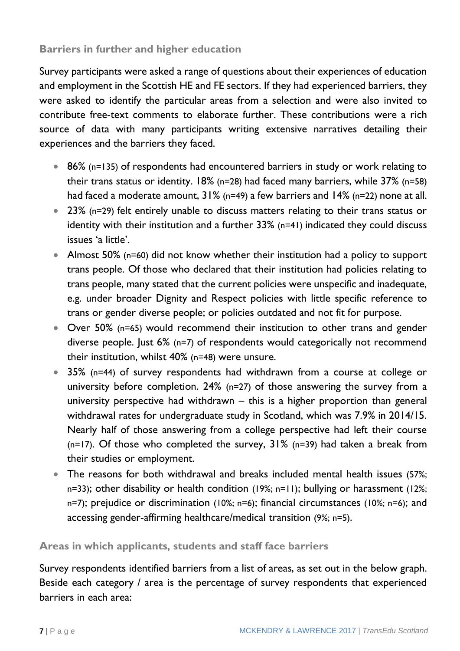# **Barriers in further and higher education**

Survey participants were asked a range of questions about their experiences of education and employment in the Scottish HE and FE sectors. If they had experienced barriers, they were asked to identify the particular areas from a selection and were also invited to contribute free-text comments to elaborate further. These contributions were a rich source of data with many participants writing extensive narratives detailing their experiences and the barriers they faced.

- 86% (n=135) of respondents had encountered barriers in study or work relating to their trans status or identity. 18% (n=28) had faced many barriers, while 37% (n=58) had faced a moderate amount, 31% (n=49) a few barriers and 14% (n=22) none at all.
- 23% (n=29) felt entirely unable to discuss matters relating to their trans status or identity with their institution and a further 33% (n=41) indicated they could discuss issues 'a little'.
- Almost 50% (n=60) did not know whether their institution had a policy to support trans people. Of those who declared that their institution had policies relating to trans people, many stated that the current policies were unspecific and inadequate, e.g. under broader Dignity and Respect policies with little specific reference to trans or gender diverse people; or policies outdated and not fit for purpose.
- Over 50% (n=65) would recommend their institution to other trans and gender diverse people. Just 6% (n=7) of respondents would categorically not recommend their institution, whilst 40% (n=48) were unsure.
- 35% (n=44) of survey respondents had withdrawn from a course at college or university before completion. 24% (n=27) of those answering the survey from a university perspective had withdrawn – this is a higher proportion than general withdrawal rates for undergraduate study in Scotland, which was 7.9% in 2014/15. Nearly half of those answering from a college perspective had left their course (n=17). Of those who completed the survey, 31% (n=39) had taken a break from their studies or employment.
- The reasons for both withdrawal and breaks included mental health issues (57%; n=33); other disability or health condition (19%; n=11); bullying or harassment (12%; n=7); prejudice or discrimination (10%; n=6); financial circumstances (10%; n=6); and accessing gender-affirming healthcare/medical transition (9%; n=5).

### **Areas in which applicants, students and staff face barriers**

Survey respondents identified barriers from a list of areas, as set out in the below graph. Beside each category / area is the percentage of survey respondents that experienced barriers in each area: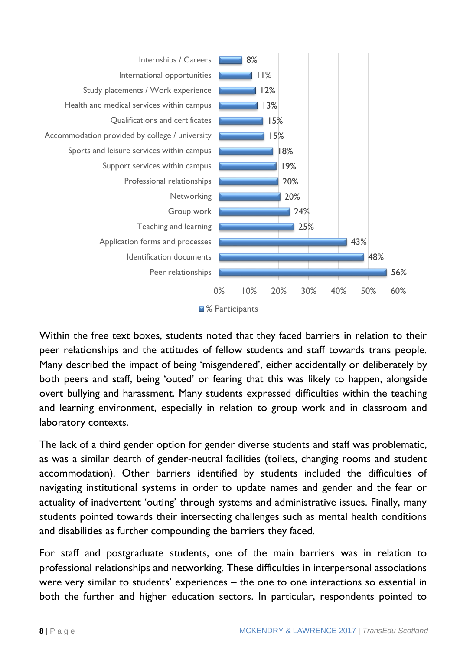

Within the free text boxes, students noted that they faced barriers in relation to their peer relationships and the attitudes of fellow students and staff towards trans people. Many described the impact of being 'misgendered', either accidentally or deliberately by both peers and staff, being 'outed' or fearing that this was likely to happen, alongside overt bullying and harassment. Many students expressed difficulties within the teaching and learning environment, especially in relation to group work and in classroom and laboratory contexts.

The lack of a third gender option for gender diverse students and staff was problematic, as was a similar dearth of gender-neutral facilities (toilets, changing rooms and student accommodation). Other barriers identified by students included the difficulties of navigating institutional systems in order to update names and gender and the fear or actuality of inadvertent 'outing' through systems and administrative issues. Finally, many students pointed towards their intersecting challenges such as mental health conditions and disabilities as further compounding the barriers they faced.

For staff and postgraduate students, one of the main barriers was in relation to professional relationships and networking. These difficulties in interpersonal associations were very similar to students' experiences – the one to one interactions so essential in both the further and higher education sectors. In particular, respondents pointed to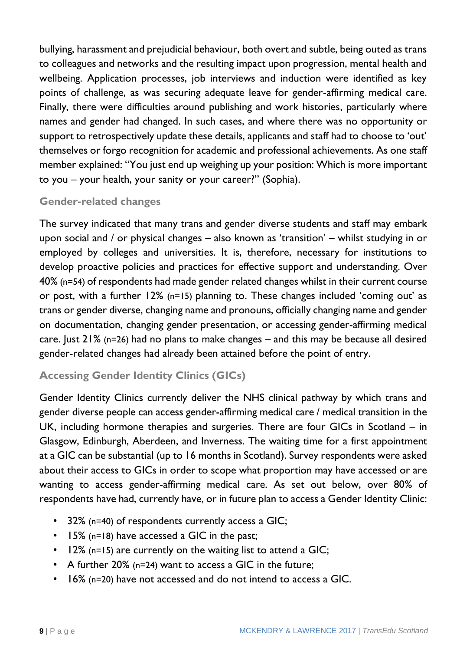bullying, harassment and prejudicial behaviour, both overt and subtle, being outed as trans to colleagues and networks and the resulting impact upon progression, mental health and wellbeing. Application processes, job interviews and induction were identified as key points of challenge, as was securing adequate leave for gender-affirming medical care. Finally, there were difficulties around publishing and work histories, particularly where names and gender had changed. In such cases, and where there was no opportunity or support to retrospectively update these details, applicants and staff had to choose to 'out' themselves or forgo recognition for academic and professional achievements. As one staff member explained: "You just end up weighing up your position: Which is more important to you – your health, your sanity or your career?" (Sophia).

## **Gender-related changes**

The survey indicated that many trans and gender diverse students and staff may embark upon social and / or physical changes – also known as 'transition' – whilst studying in or employed by colleges and universities. It is, therefore, necessary for institutions to develop proactive policies and practices for effective support and understanding. Over 40% (n=54) of respondents had made gender related changes whilst in their current course or post, with a further 12% (n=15) planning to. These changes included 'coming out' as trans or gender diverse, changing name and pronouns, officially changing name and gender on documentation, changing gender presentation, or accessing gender-affirming medical care. Just 21% (n=26) had no plans to make changes – and this may be because all desired gender-related changes had already been attained before the point of entry.

# **Accessing Gender Identity Clinics (GICs)**

Gender Identity Clinics currently deliver the NHS clinical pathway by which trans and gender diverse people can access gender-affirming medical care / medical transition in the UK, including hormone therapies and surgeries. There are four GICs in Scotland – in Glasgow, Edinburgh, Aberdeen, and Inverness. The waiting time for a first appointment at a GIC can be substantial (up to 16 months in Scotland). Survey respondents were asked about their access to GICs in order to scope what proportion may have accessed or are wanting to access gender-affirming medical care. As set out below, over 80% of respondents have had, currently have, or in future plan to access a Gender Identity Clinic:

- 32% (n=40) of respondents currently access a GIC;
- 15% (n=18) have accessed a GIC in the past;
- 12% (n=15) are currently on the waiting list to attend a GIC;
- A further 20% (n=24) want to access a GIC in the future;
- 16% (n=20) have not accessed and do not intend to access a GIC.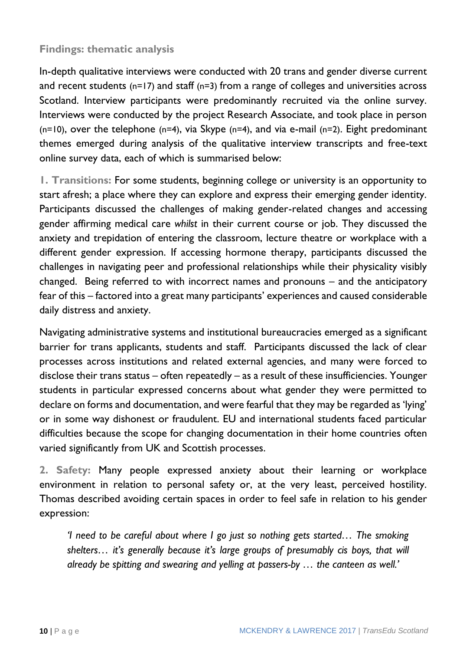# **Findings: thematic analysis**

In-depth qualitative interviews were conducted with 20 trans and gender diverse current and recent students (n=17) and staff (n=3) from a range of colleges and universities across Scotland. Interview participants were predominantly recruited via the online survey. Interviews were conducted by the project Research Associate, and took place in person  $(n=10)$ , over the telephone  $(n=4)$ , via Skype  $(n=4)$ , and via e-mail  $(n=2)$ . Eight predominant themes emerged during analysis of the qualitative interview transcripts and free-text online survey data, each of which is summarised below:

**1. Transitions:** For some students, beginning college or university is an opportunity to start afresh; a place where they can explore and express their emerging gender identity. Participants discussed the challenges of making gender-related changes and accessing gender affirming medical care *whilst* in their current course or job. They discussed the anxiety and trepidation of entering the classroom, lecture theatre or workplace with a different gender expression. If accessing hormone therapy, participants discussed the challenges in navigating peer and professional relationships while their physicality visibly changed. Being referred to with incorrect names and pronouns – and the anticipatory fear of this – factored into a great many participants' experiences and caused considerable daily distress and anxiety.

Navigating administrative systems and institutional bureaucracies emerged as a significant barrier for trans applicants, students and staff. Participants discussed the lack of clear processes across institutions and related external agencies, and many were forced to disclose their trans status – often repeatedly – as a result of these insufficiencies. Younger students in particular expressed concerns about what gender they were permitted to declare on forms and documentation, and were fearful that they may be regarded as 'lying' or in some way dishonest or fraudulent. EU and international students faced particular difficulties because the scope for changing documentation in their home countries often varied significantly from UK and Scottish processes.

**2. Safety:** Many people expressed anxiety about their learning or workplace environment in relation to personal safety or, at the very least, perceived hostility. Thomas described avoiding certain spaces in order to feel safe in relation to his gender expression:

*'I need to be careful about where I go just so nothing gets started… The smoking shelters… it's generally because it's large groups of presumably cis boys, that will already be spitting and swearing and yelling at passers-by … the canteen as well.'*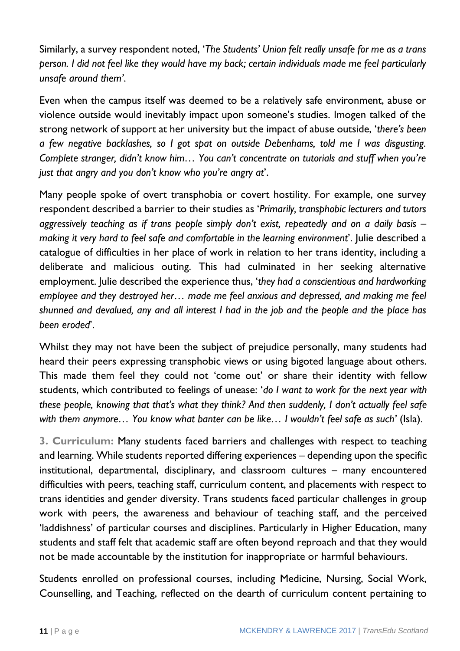Similarly, a survey respondent noted, '*The Students' Union felt really unsafe for me as a trans person. I did not feel like they would have my back; certain individuals made me feel particularly unsafe around them'*.

Even when the campus itself was deemed to be a relatively safe environment, abuse or violence outside would inevitably impact upon someone's studies. Imogen talked of the strong network of support at her university but the impact of abuse outside, '*there's been a few negative backlashes, so I got spat on outside Debenhams, told me I was disgusting. Complete stranger, didn't know him… You can't concentrate on tutorials and stuff when you're just that angry and you don't know who you're angry at*'.

Many people spoke of overt transphobia or covert hostility. For example, one survey respondent described a barrier to their studies as '*Primarily, transphobic lecturers and tutors aggressively teaching as if trans people simply don't exist, repeatedly and on a daily basis – making it very hard to feel safe and comfortable in the learning environment*'. Julie described a catalogue of difficulties in her place of work in relation to her trans identity, including a deliberate and malicious outing. This had culminated in her seeking alternative employment. Julie described the experience thus, '*they had a conscientious and hardworking employee and they destroyed her… made me feel anxious and depressed, and making me feel shunned and devalued, any and all interest I had in the job and the people and the place has been eroded*'.

Whilst they may not have been the subject of prejudice personally, many students had heard their peers expressing transphobic views or using bigoted language about others. This made them feel they could not 'come out' or share their identity with fellow students, which contributed to feelings of unease: '*do I want to work for the next year with these people, knowing that that's what they think? And then suddenly, I don't actually feel safe with them anymore… You know what banter can be like… I wouldn't feel safe as such'* (Isla).

**3. Curriculum:** Many students faced barriers and challenges with respect to teaching and learning. While students reported differing experiences – depending upon the specific institutional, departmental, disciplinary, and classroom cultures – many encountered difficulties with peers, teaching staff, curriculum content, and placements with respect to trans identities and gender diversity. Trans students faced particular challenges in group work with peers, the awareness and behaviour of teaching staff, and the perceived 'laddishness' of particular courses and disciplines. Particularly in Higher Education, many students and staff felt that academic staff are often beyond reproach and that they would not be made accountable by the institution for inappropriate or harmful behaviours.

Students enrolled on professional courses, including Medicine, Nursing, Social Work, Counselling, and Teaching, reflected on the dearth of curriculum content pertaining to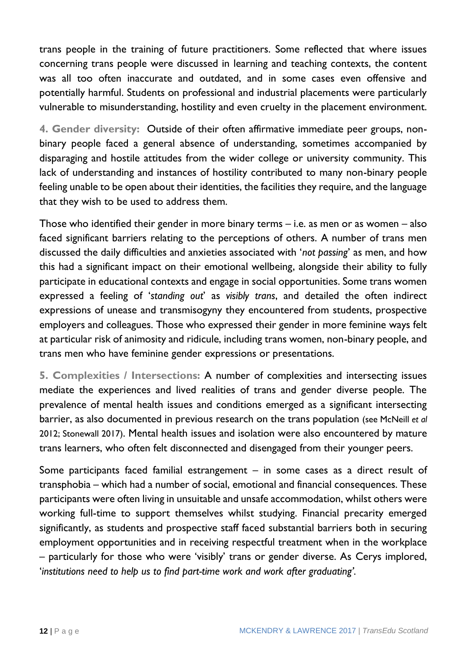trans people in the training of future practitioners. Some reflected that where issues concerning trans people were discussed in learning and teaching contexts, the content was all too often inaccurate and outdated, and in some cases even offensive and potentially harmful. Students on professional and industrial placements were particularly vulnerable to misunderstanding, hostility and even cruelty in the placement environment.

**4. Gender diversity:** Outside of their often affirmative immediate peer groups, nonbinary people faced a general absence of understanding, sometimes accompanied by disparaging and hostile attitudes from the wider college or university community. This lack of understanding and instances of hostility contributed to many non-binary people feeling unable to be open about their identities, the facilities they require, and the language that they wish to be used to address them.

Those who identified their gender in more binary terms – i.e. as men or as women – also faced significant barriers relating to the perceptions of others. A number of trans men discussed the daily difficulties and anxieties associated with '*not passing*' as men, and how this had a significant impact on their emotional wellbeing, alongside their ability to fully participate in educational contexts and engage in social opportunities. Some trans women expressed a feeling of '*standing out*' as *visibly trans*, and detailed the often indirect expressions of unease and transmisogyny they encountered from students, prospective employers and colleagues. Those who expressed their gender in more feminine ways felt at particular risk of animosity and ridicule, including trans women, non-binary people, and trans men who have feminine gender expressions or presentations.

**5. Complexities / Intersections:** A number of complexities and intersecting issues mediate the experiences and lived realities of trans and gender diverse people. The prevalence of mental health issues and conditions emerged as a significant intersecting barrier, as also documented in previous research on the trans population (see McNeill *et al*  2012; Stonewall 2017). Mental health issues and isolation were also encountered by mature trans learners, who often felt disconnected and disengaged from their younger peers.

Some participants faced familial estrangement – in some cases as a direct result of transphobia – which had a number of social, emotional and financial consequences. These participants were often living in unsuitable and unsafe accommodation, whilst others were working full-time to support themselves whilst studying. Financial precarity emerged significantly, as students and prospective staff faced substantial barriers both in securing employment opportunities and in receiving respectful treatment when in the workplace – particularly for those who were 'visibly' trans or gender diverse. As Cerys implored, '*institutions need to help us to find part-time work and work after graduating'.*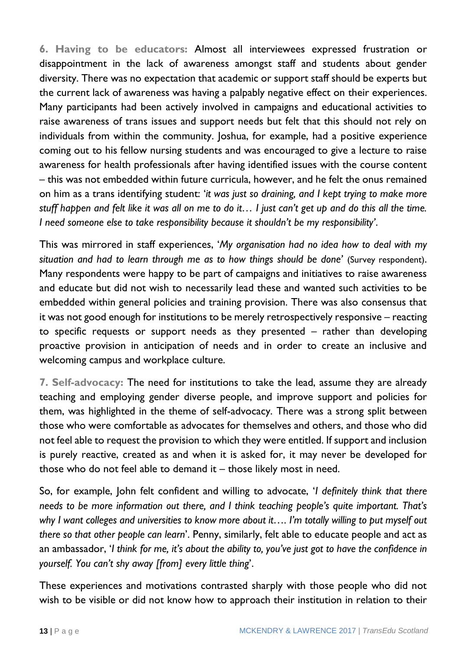**6. Having to be educators:** Almost all interviewees expressed frustration or disappointment in the lack of awareness amongst staff and students about gender diversity. There was no expectation that academic or support staff should be experts but the current lack of awareness was having a palpably negative effect on their experiences. Many participants had been actively involved in campaigns and educational activities to raise awareness of trans issues and support needs but felt that this should not rely on individuals from within the community. Joshua, for example, had a positive experience coming out to his fellow nursing students and was encouraged to give a lecture to raise awareness for health professionals after having identified issues with the course content – this was not embedded within future curricula, however, and he felt the onus remained on him as a trans identifying student: '*it was just so draining, and I kept trying to make more stuff happen and felt like it was all on me to do it… I just can't get up and do this all the time. I need someone else to take responsibility because it shouldn't be my responsibility'*.

This was mirrored in staff experiences, '*My organisation had no idea how to deal with my situation and had to learn through me as to how things should be done'* (Survey respondent). Many respondents were happy to be part of campaigns and initiatives to raise awareness and educate but did not wish to necessarily lead these and wanted such activities to be embedded within general policies and training provision. There was also consensus that it was not good enough for institutions to be merely retrospectively responsive – reacting to specific requests or support needs as they presented – rather than developing proactive provision in anticipation of needs and in order to create an inclusive and welcoming campus and workplace culture.

**7. Self-advocacy:** The need for institutions to take the lead, assume they are already teaching and employing gender diverse people, and improve support and policies for them, was highlighted in the theme of self-advocacy. There was a strong split between those who were comfortable as advocates for themselves and others, and those who did not feel able to request the provision to which they were entitled. If support and inclusion is purely reactive, created as and when it is asked for, it may never be developed for those who do not feel able to demand it – those likely most in need.

So, for example, John felt confident and willing to advocate, '*I definitely think that there needs to be more information out there, and I think teaching people's quite important. That's why I want colleges and universities to know more about it…. I'm totally willing to put myself out there so that other people can learn*'. Penny, similarly, felt able to educate people and act as an ambassador, '*I think for me, it's about the ability to, you've just got to have the confidence in yourself. You can't shy away [from] every little thing*'.

These experiences and motivations contrasted sharply with those people who did not wish to be visible or did not know how to approach their institution in relation to their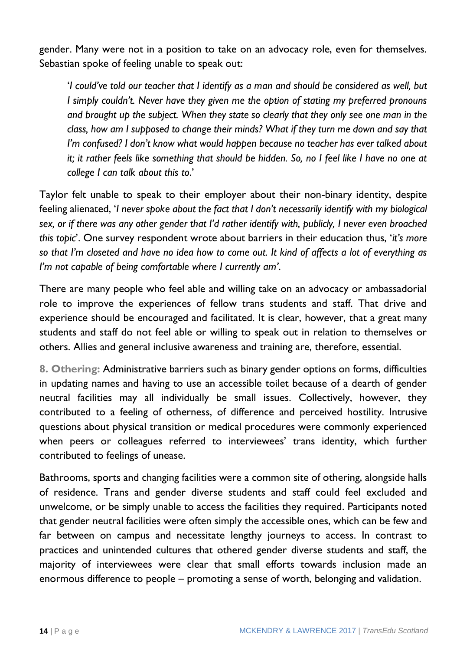gender. Many were not in a position to take on an advocacy role, even for themselves. Sebastian spoke of feeling unable to speak out:

'*I could've told our teacher that I identify as a man and should be considered as well, but I simply couldn't. Never have they given me the option of stating my preferred pronouns and brought up the subject. When they state so clearly that they only see one man in the class, how am I supposed to change their minds? What if they turn me down and say that I'm confused? I don't know what would happen because no teacher has ever talked about it; it rather feels like something that should be hidden. So, no I feel like I have no one at college I can talk about this to*.'

Taylor felt unable to speak to their employer about their non-binary identity, despite feeling alienated, '*I never spoke about the fact that I don't necessarily identify with my biological sex, or if there was any other gender that I'd rather identify with, publicly, I never even broached this topic*'. One survey respondent wrote about barriers in their education thus, '*it's more so that I'm closeted and have no idea how to come out. It kind of affects a lot of everything as I'm not capable of being comfortable where I currently am'*.

There are many people who feel able and willing take on an advocacy or ambassadorial role to improve the experiences of fellow trans students and staff. That drive and experience should be encouraged and facilitated. It is clear, however, that a great many students and staff do not feel able or willing to speak out in relation to themselves or others. Allies and general inclusive awareness and training are, therefore, essential.

**8. Othering:** Administrative barriers such as binary gender options on forms, difficulties in updating names and having to use an accessible toilet because of a dearth of gender neutral facilities may all individually be small issues. Collectively, however, they contributed to a feeling of otherness, of difference and perceived hostility. Intrusive questions about physical transition or medical procedures were commonly experienced when peers or colleagues referred to interviewees' trans identity, which further contributed to feelings of unease.

Bathrooms, sports and changing facilities were a common site of othering, alongside halls of residence. Trans and gender diverse students and staff could feel excluded and unwelcome, or be simply unable to access the facilities they required. Participants noted that gender neutral facilities were often simply the accessible ones, which can be few and far between on campus and necessitate lengthy journeys to access. In contrast to practices and unintended cultures that othered gender diverse students and staff, the majority of interviewees were clear that small efforts towards inclusion made an enormous difference to people – promoting a sense of worth, belonging and validation.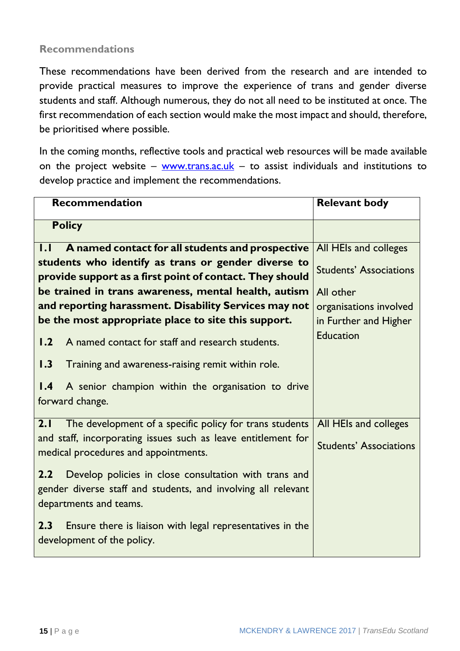## **Recommendations**

These recommendations have been derived from the research and are intended to provide practical measures to improve the experience of trans and gender diverse students and staff. Although numerous, they do not all need to be instituted at once. The first recommendation of each section would make the most impact and should, therefore, be prioritised where possible.

In the coming months, reflective tools and practical web resources will be made available on the project website –  $www.trans.ac.uk$  – to assist individuals and institutions to develop practice and implement the recommendations.

| <b>Recommendation</b>                                                                                                                                       | <b>Relevant body</b>          |
|-------------------------------------------------------------------------------------------------------------------------------------------------------------|-------------------------------|
| <b>Policy</b>                                                                                                                                               |                               |
| A named contact for all students and prospective<br>1.1                                                                                                     | All HEIs and colleges         |
| students who identify as trans or gender diverse to                                                                                                         | <b>Students' Associations</b> |
| provide support as a first point of contact. They should                                                                                                    |                               |
| be trained in trans awareness, mental health, autism                                                                                                        | All other                     |
| and reporting harassment. Disability Services may not                                                                                                       | organisations involved        |
| be the most appropriate place to site this support.                                                                                                         | in Further and Higher         |
| 1.2<br>A named contact for staff and research students.                                                                                                     | <b>Education</b>              |
| 1.3<br>Training and awareness-raising remit within role.                                                                                                    |                               |
| $\overline{1.4}$<br>A senior champion within the organisation to drive<br>forward change.                                                                   |                               |
| 2.1<br>The development of a specific policy for trans students                                                                                              | All HEIs and colleges         |
| and staff, incorporating issues such as leave entitlement for<br>medical procedures and appointments.                                                       | <b>Students' Associations</b> |
| Develop policies in close consultation with trans and<br>$2.2\,$<br>gender diverse staff and students, and involving all relevant<br>departments and teams. |                               |
| 2.3<br>Ensure there is liaison with legal representatives in the<br>development of the policy.                                                              |                               |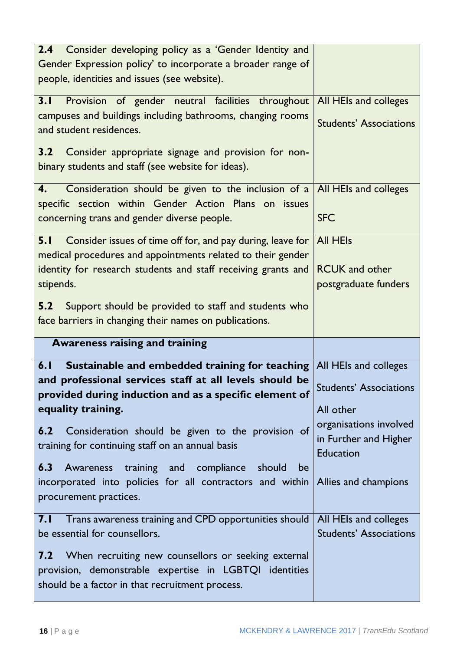| Gender Expression policy' to incorporate a broader range of                                                       |                               |
|-------------------------------------------------------------------------------------------------------------------|-------------------------------|
| people, identities and issues (see website).                                                                      |                               |
| 3.1<br>Provision of gender neutral facilities throughout All HEIs and colleges                                    |                               |
| campuses and buildings including bathrooms, changing rooms                                                        | <b>Students' Associations</b> |
| and student residences.                                                                                           |                               |
| Consider appropriate signage and provision for non-<br>3.2                                                        |                               |
| binary students and staff (see website for ideas).                                                                |                               |
|                                                                                                                   |                               |
| Consideration should be given to the inclusion of a $\vert$ All HEIs and colleges<br>$\mathbf{4}$ .               |                               |
| specific section within Gender Action Plans on issues                                                             |                               |
| concerning trans and gender diverse people.                                                                       | <b>SFC</b>                    |
| Consider issues of time off for, and pay during, leave for<br>5.1                                                 | <b>All HEIs</b>               |
| medical procedures and appointments related to their gender                                                       |                               |
| identity for research students and staff receiving grants and                                                     | <b>RCUK and other</b>         |
| stipends.                                                                                                         | postgraduate funders          |
|                                                                                                                   |                               |
| Support should be provided to staff and students who<br>5.2                                                       |                               |
| face barriers in changing their names on publications.                                                            |                               |
|                                                                                                                   |                               |
| <b>Awareness raising and training</b>                                                                             |                               |
|                                                                                                                   |                               |
| <b>Sustainable and embedded training for teaching All HEIs and colleges</b><br>6.1                                |                               |
| and professional services staff at all levels should be<br>provided during induction and as a specific element of | <b>Students' Associations</b> |
| equality training.                                                                                                | All other                     |
|                                                                                                                   | organisations involved        |
| 6.2 Consideration should be given to the provision of                                                             | in Further and Higher         |
| training for continuing staff on an annual basis                                                                  | <b>Education</b>              |
| 6.3<br>Awareness training and compliance should<br>be                                                             |                               |
| incorporated into policies for all contractors and within $\Delta l$ lies and champions                           |                               |
| procurement practices.                                                                                            |                               |
|                                                                                                                   |                               |
| Trans awareness training and CPD opportunities should<br>7.1                                                      | All HEIs and colleges         |
| be essential for counsellors.                                                                                     | <b>Students' Associations</b> |
| When recruiting new counsellors or seeking external<br>7.2                                                        |                               |
| provision, demonstrable expertise in LGBTQI identities<br>should be a factor in that recruitment process.         |                               |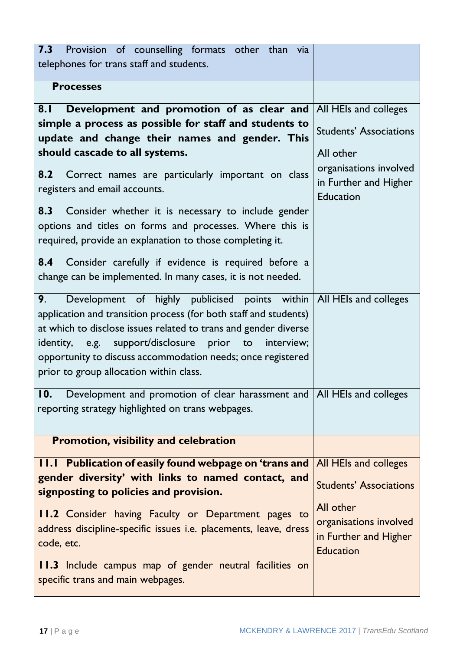| 7.3 Provision of counselling formats other than via<br>telephones for trans staff and students.                                                                                                                                                                                                                                                                                              |                                                                                  |
|----------------------------------------------------------------------------------------------------------------------------------------------------------------------------------------------------------------------------------------------------------------------------------------------------------------------------------------------------------------------------------------------|----------------------------------------------------------------------------------|
|                                                                                                                                                                                                                                                                                                                                                                                              |                                                                                  |
| <b>Processes</b>                                                                                                                                                                                                                                                                                                                                                                             |                                                                                  |
| 8.1 Development and promotion of as clear and                                                                                                                                                                                                                                                                                                                                                | All HEIs and colleges                                                            |
| simple a process as possible for staff and students to                                                                                                                                                                                                                                                                                                                                       | <b>Students' Associations</b>                                                    |
| update and change their names and gender. This<br>should cascade to all systems.                                                                                                                                                                                                                                                                                                             | All other                                                                        |
|                                                                                                                                                                                                                                                                                                                                                                                              | organisations involved                                                           |
| Correct names are particularly important on class<br>8.2<br>registers and email accounts.                                                                                                                                                                                                                                                                                                    | in Further and Higher<br><b>Education</b>                                        |
| 8.3 Consider whether it is necessary to include gender                                                                                                                                                                                                                                                                                                                                       |                                                                                  |
| options and titles on forms and processes. Where this is<br>required, provide an explanation to those completing it.                                                                                                                                                                                                                                                                         |                                                                                  |
| 8.4 Consider carefully if evidence is required before a                                                                                                                                                                                                                                                                                                                                      |                                                                                  |
| change can be implemented. In many cases, it is not needed.                                                                                                                                                                                                                                                                                                                                  |                                                                                  |
| Development of highly publicised points within   All HEIs and colleges<br>9.<br>application and transition process (for both staff and students)<br>at which to disclose issues related to trans and gender diverse<br>e.g. support/disclosure prior to<br>identity,<br>interview;<br>opportunity to discuss accommodation needs; once registered<br>prior to group allocation within class. |                                                                                  |
| 10.<br>Development and promotion of clear harassment and   All HEIs and colleges<br>reporting strategy highlighted on trans webpages.                                                                                                                                                                                                                                                        |                                                                                  |
| Promotion, visibility and celebration                                                                                                                                                                                                                                                                                                                                                        |                                                                                  |
| <b>11.1 Publication of easily found webpage on 'trans and</b>                                                                                                                                                                                                                                                                                                                                | All HEIs and colleges                                                            |
| gender diversity' with links to named contact, and<br>signposting to policies and provision.                                                                                                                                                                                                                                                                                                 | <b>Students' Associations</b>                                                    |
| 11.2 Consider having Faculty or Department pages to<br>address discipline-specific issues i.e. placements, leave, dress<br>code, etc.                                                                                                                                                                                                                                                        | All other<br>organisations involved<br>in Further and Higher<br><b>Education</b> |
| 11.3 Include campus map of gender neutral facilities on<br>specific trans and main webpages.                                                                                                                                                                                                                                                                                                 |                                                                                  |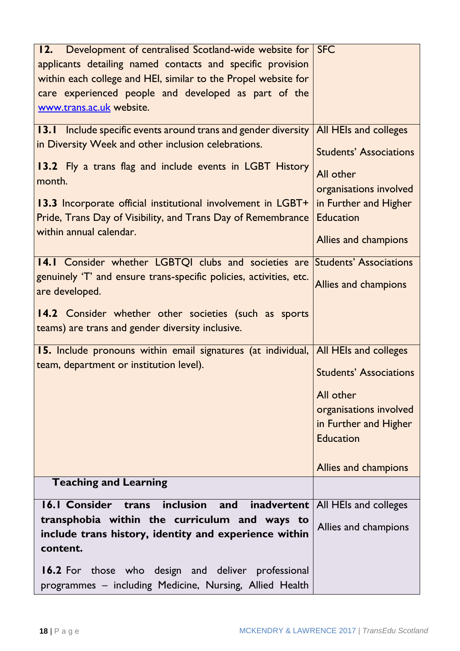| 12. Development of centralised Scotland-wide website for SFC                       |                                            |
|------------------------------------------------------------------------------------|--------------------------------------------|
| applicants detailing named contacts and specific provision                         |                                            |
| within each college and HEI, similar to the Propel website for                     |                                            |
| care experienced people and developed as part of the                               |                                            |
| www.trans.ac.uk website.                                                           |                                            |
|                                                                                    |                                            |
| <b>13.1</b> Include specific events around trans and gender diversity              | All HEIs and colleges                      |
| in Diversity Week and other inclusion celebrations.                                |                                            |
|                                                                                    | <b>Students' Associations</b>              |
| 13.2 Fly a trans flag and include events in LGBT History                           | All other                                  |
| month.                                                                             | organisations involved                     |
| 13.3 Incorporate official institutional involvement in LGBT+                       | in Further and Higher                      |
| Pride, Trans Day of Visibility, and Trans Day of Remembrance                       | <b>Education</b>                           |
| within annual calendar.                                                            |                                            |
|                                                                                    | Allies and champions                       |
|                                                                                    |                                            |
| 14.1 Consider whether LGBTQI clubs and societies are Students' Associations        |                                            |
| genuinely 'T' and ensure trans-specific policies, activities, etc.                 | <b>Allies and champions</b>                |
| are developed.                                                                     |                                            |
| 14.2 Consider whether other societies (such as sports                              |                                            |
| teams) are trans and gender diversity inclusive.                                   |                                            |
|                                                                                    |                                            |
| 15. Include pronouns within email signatures (at individual, All HEIs and colleges |                                            |
| team, department or institution level).                                            | <b>Students' Associations</b>              |
|                                                                                    |                                            |
|                                                                                    | All other                                  |
|                                                                                    | organisations involved                     |
|                                                                                    | in Further and Higher                      |
|                                                                                    | <b>Education</b>                           |
|                                                                                    |                                            |
|                                                                                    | Allies and champions                       |
|                                                                                    |                                            |
| <b>Teaching and Learning</b>                                                       |                                            |
| inclusion<br>16.1 Consider trans<br>and                                            | <b>inadvertent</b>   All HEIs and colleges |
| transphobia within the curriculum and ways to                                      |                                            |
| include trans history, identity and experience within                              | Allies and champions                       |
| content.                                                                           |                                            |
|                                                                                    |                                            |
| <b>16.2</b> For those who design and deliver professional                          |                                            |
| programmes - including Medicine, Nursing, Allied Health                            |                                            |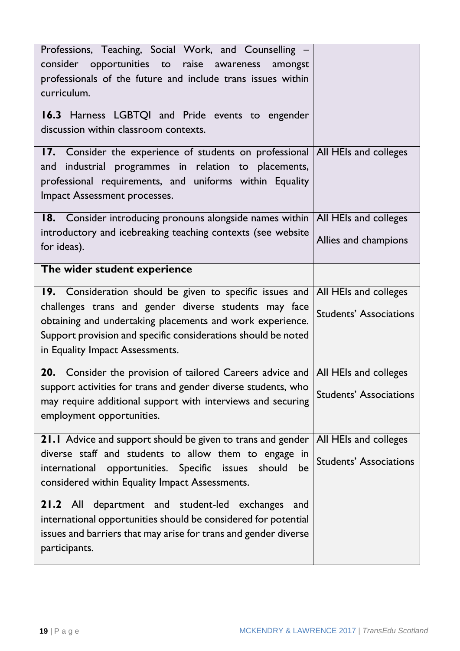| Professions, Teaching, Social Work, and Counselling -<br>consider opportunities to raise awareness<br>amongst<br>professionals of the future and include trans issues within<br>curriculum.<br>16.3 Harness LGBTQI and Pride events to engender<br>discussion within classroom contexts.                         |                               |
|------------------------------------------------------------------------------------------------------------------------------------------------------------------------------------------------------------------------------------------------------------------------------------------------------------------|-------------------------------|
| 17. Consider the experience of students on professional All HEIs and colleges<br>and industrial programmes in relation to placements,<br>professional requirements, and uniforms within Equality<br>Impact Assessment processes.                                                                                 |                               |
| 18. Consider introducing pronouns alongside names within   All HEIs and colleges<br>introductory and icebreaking teaching contexts (see website<br>for ideas).                                                                                                                                                   | Allies and champions          |
| The wider student experience                                                                                                                                                                                                                                                                                     |                               |
| 19. Consideration should be given to specific issues and $\vert$ All HEIs and colleges<br>challenges trans and gender diverse students may face<br>obtaining and undertaking placements and work experience.<br>Support provision and specific considerations should be noted<br>in Equality Impact Assessments. | <b>Students' Associations</b> |
| <b>20.</b> Consider the provision of tailored Careers advice and $\vert$ All HEIs and colleges<br>support activities for trans and gender diverse students, who<br>may require additional support with interviews and securing<br>employment opportunities.                                                      | <b>Students' Associations</b> |
| 21.1 Advice and support should be given to trans and gender   All HEIs and colleges<br>diverse staff and students to allow them to engage in<br>international opportunities. Specific issues should<br>be<br>considered within Equality Impact Assessments.                                                      | <b>Students' Associations</b> |
| 21.2 All department and student-led exchanges<br>and<br>international opportunities should be considered for potential<br>issues and barriers that may arise for trans and gender diverse<br>participants.                                                                                                       |                               |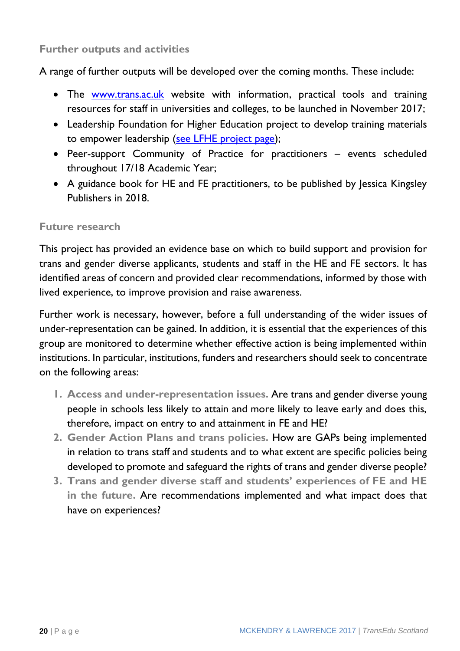# **Further outputs and activities**

A range of further outputs will be developed over the coming months. These include:

- The **[www.trans.ac.uk](http://www.trans.ac.uk/)** website with information, practical tools and training resources for staff in universities and colleges, to be launched in November 2017;
- Leadership Foundation for Higher Education project to develop training materials to empower leadership (see LFHE [project page\)](https://www.lfhe.ac.uk/en/research-resources/research-hub/small-development-projects/sdp2017/strathclyde-po.cfm);
- Peer-support Community of Practice for practitioners events scheduled throughout 17/18 Academic Year;
- A guidance book for HE and FE practitioners, to be published by Jessica Kingsley Publishers in 2018.

#### **Future research**

This project has provided an evidence base on which to build support and provision for trans and gender diverse applicants, students and staff in the HE and FE sectors. It has identified areas of concern and provided clear recommendations, informed by those with lived experience, to improve provision and raise awareness.

Further work is necessary, however, before a full understanding of the wider issues of under-representation can be gained. In addition, it is essential that the experiences of this group are monitored to determine whether effective action is being implemented within institutions. In particular, institutions, funders and researchers should seek to concentrate on the following areas:

- **1. Access and under-representation issues.** Are trans and gender diverse young people in schools less likely to attain and more likely to leave early and does this, therefore, impact on entry to and attainment in FE and HE?
- **2. Gender Action Plans and trans policies.** How are GAPs being implemented in relation to trans staff and students and to what extent are specific policies being developed to promote and safeguard the rights of trans and gender diverse people?
- **3. Trans and gender diverse staff and students' experiences of FE and HE in the future.** Are recommendations implemented and what impact does that have on experiences?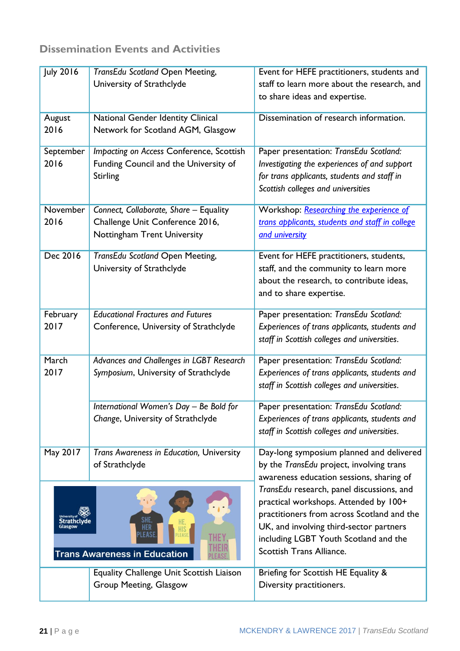# **Dissemination Events and Activities**

| <b>July 2016</b> | TransEdu Scotland Open Meeting,                 | Event for HEFE practitioners, students and      |
|------------------|-------------------------------------------------|-------------------------------------------------|
|                  | University of Strathclyde                       | staff to learn more about the research, and     |
|                  |                                                 | to share ideas and expertise.                   |
|                  |                                                 |                                                 |
| August           | National Gender Identity Clinical               | Dissemination of research information.          |
| 2016             | Network for Scotland AGM, Glasgow               |                                                 |
| September        | Impacting on Access Conference, Scottish        | Paper presentation: TransEdu Scotland:          |
| 2016             | Funding Council and the University of           | Investigating the experiences of and support    |
|                  | Stirling                                        | for trans applicants, students and staff in     |
|                  |                                                 | Scottish colleges and universities              |
|                  |                                                 |                                                 |
| November         | Connect, Collaborate, Share - Equality          | Workshop: Researching the experience of         |
| 2016             | Challenge Unit Conference 2016,                 | trans applicants, students and staff in college |
|                  | Nottingham Trent University                     | and university                                  |
| <b>Dec 2016</b>  |                                                 |                                                 |
|                  | TransEdu Scotland Open Meeting,                 | Event for HEFE practitioners, students,         |
|                  | University of Strathclyde                       | staff, and the community to learn more          |
|                  |                                                 | about the research, to contribute ideas,        |
|                  |                                                 | and to share expertise.                         |
| February         | <b>Educational Fractures and Futures</b>        | Paper presentation: TransEdu Scotland:          |
| 2017             | Conference, University of Strathclyde           | Experiences of trans applicants, students and   |
|                  |                                                 | staff in Scottish colleges and universities.    |
|                  |                                                 |                                                 |
| March            | Advances and Challenges in LGBT Research        | Paper presentation: TransEdu Scotland:          |
| 2017             | Symposium, University of Strathclyde            | Experiences of trans applicants, students and   |
|                  |                                                 | staff in Scottish colleges and universities.    |
|                  | International Women's Day - Be Bold for         | Paper presentation: TransEdu Scotland:          |
|                  | Change, University of Strathclyde               | Experiences of trans applicants, students and   |
|                  |                                                 | staff in Scottish colleges and universities.    |
|                  |                                                 |                                                 |
| May 2017         | Trans Awareness in Education, University        | Day-long symposium planned and delivered        |
|                  | of Strathclyde                                  | by the TransEdu project, involving trans        |
|                  |                                                 | awareness education sessions, sharing of        |
|                  |                                                 | TransEdu research, panel discussions, and       |
|                  |                                                 | practical workshops. Attended by 100+           |
|                  | SHE.                                            | practitioners from across Scotland and the      |
|                  | EASI                                            | UK, and involving third-sector partners         |
|                  |                                                 | including LGBT Youth Scotland and the           |
|                  | <b>Trans Awareness in Education</b>             | Scottish Trans Alliance.                        |
|                  | <b>Equality Challenge Unit Scottish Liaison</b> | Briefing for Scottish HE Equality &             |
|                  | Group Meeting, Glasgow                          | Diversity practitioners.                        |
|                  |                                                 |                                                 |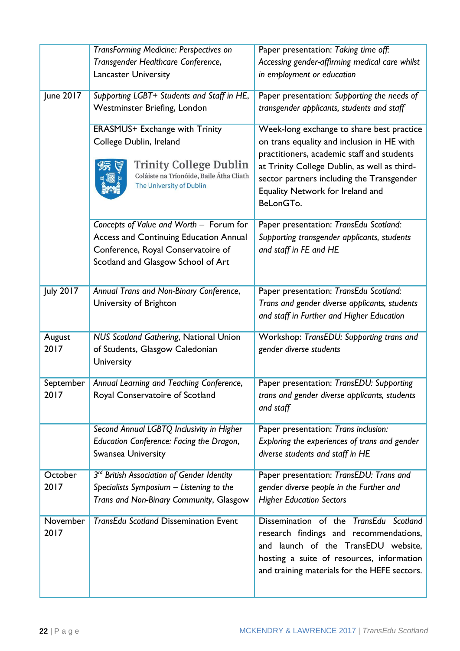|                  | TransForming Medicine: Perspectives on                                    | Paper presentation: Taking time off:           |
|------------------|---------------------------------------------------------------------------|------------------------------------------------|
|                  | Transgender Healthcare Conference,                                        | Accessing gender-affirming medical care whilst |
|                  | <b>Lancaster University</b>                                               | in employment or education                     |
| June 2017        | Supporting LGBT+ Students and Staff in HE,                                | Paper presentation: Supporting the needs of    |
|                  | Westminster Briefing, London                                              | transgender applicants, students and staff     |
|                  | ERASMUS+ Exchange with Trinity                                            | Week-long exchange to share best practice      |
|                  | College Dublin, Ireland                                                   | on trans equality and inclusion in HE with     |
|                  |                                                                           | practitioners, academic staff and students     |
|                  | <b>Trinity College Dublin</b><br>Coláiste na Tríonóide, Baile Átha Cliath | at Trinity College Dublin, as well as third-   |
|                  | The University of Dublin                                                  | sector partners including the Transgender      |
|                  |                                                                           | Equality Network for Ireland and<br>BeLonGTo.  |
|                  |                                                                           |                                                |
|                  | Concepts of Value and Worth - Forum for                                   | Paper presentation: TransEdu Scotland:         |
|                  | Access and Continuing Education Annual                                    | Supporting transgender applicants, students    |
|                  | Conference, Royal Conservatoire of                                        | and staff in FE and HE                         |
|                  | Scotland and Glasgow School of Art                                        |                                                |
|                  |                                                                           |                                                |
| <b>July 2017</b> | Annual Trans and Non-Binary Conference,                                   | Paper presentation: TransEdu Scotland:         |
|                  | University of Brighton                                                    | Trans and gender diverse applicants, students  |
|                  |                                                                           | and staff in Further and Higher Education      |
| August           | <b>NUS Scotland Gathering, National Union</b>                             | Workshop: TransEDU: Supporting trans and       |
| 2017             | of Students, Glasgow Caledonian                                           | gender diverse students                        |
|                  | University                                                                |                                                |
| September        | Annual Learning and Teaching Conference,                                  | Paper presentation: TransEDU: Supporting       |
| 2017             | Royal Conservatoire of Scotland                                           | trans and gender diverse applicants, students  |
|                  |                                                                           | and staff                                      |
|                  |                                                                           |                                                |
|                  | Second Annual LGBTQ Inclusivity in Higher                                 | Paper presentation: Trans inclusion:           |
|                  | Education Conference: Facing the Dragon,                                  | Exploring the experiences of trans and gender  |
|                  | Swansea University                                                        | diverse students and staff in HE               |
| October          | 3 <sup>rd</sup> British Association of Gender Identity                    | Paper presentation: TransEDU: Trans and        |
| 2017             | Specialists Symposium - Listening to the                                  | gender diverse people in the Further and       |
|                  | Trans and Non-Binary Community, Glasgow                                   | <b>Higher Education Sectors</b>                |
| November         | <b>TransEdu Scotland Dissemination Event</b>                              | Dissemination of the TransEdu Scotland         |
| 2017             |                                                                           | research findings and recommendations,         |
|                  |                                                                           | and launch of the TransEDU website,            |
|                  |                                                                           | hosting a suite of resources, information      |
|                  |                                                                           | and training materials for the HEFE sectors.   |
|                  |                                                                           |                                                |